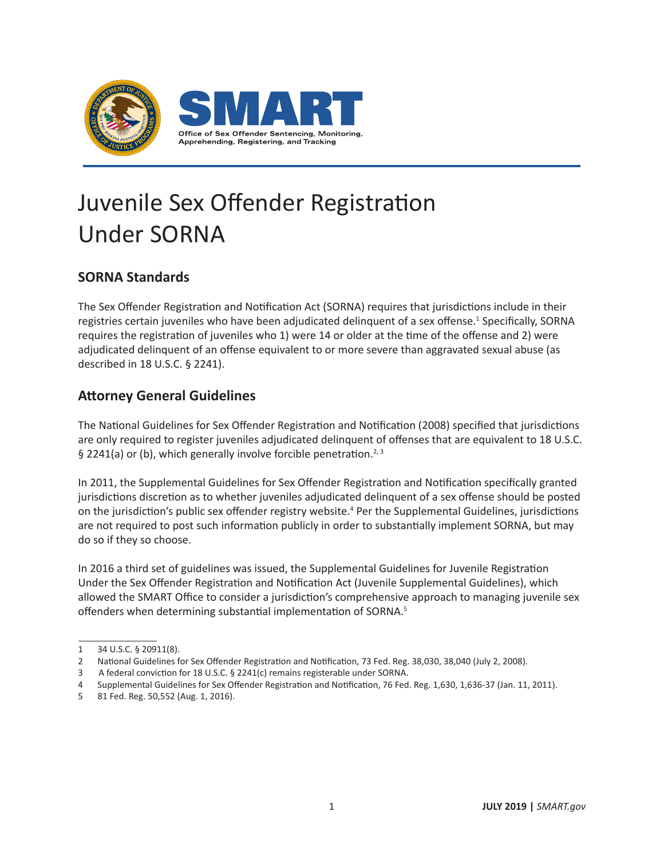

## Juvenile Sex Offender Registration Under SORNA

## **SORNA Standards**

The Sex Offender Registration and Notification Act (SORNA) requires that jurisdictions include in their registries certain juveniles who have been adjudicated delinquent of a sex offense.<sup>1</sup> Specifically, SORNA requires the registration of juveniles who 1) were 14 or older at the time of the offense and 2) were adjudicated delinquent of an offense equivalent to or more severe than aggravated sexual abuse (as described in 18 U.S.C. § 2241).

## **Attorney General Guidelines**

The National Guidelines for Sex Offender Registration and Notification (2008) specified that jurisdictions are only required to register juveniles adjudicated delinquent of offenses that are equivalent to 18 U.S.C. § 2241(a) or (b), which generally involve forcible penetration.<sup>2, 3</sup>

In 2011, the Supplemental Guidelines for Sex Offender Registration and Notification specifically granted jurisdictions discretion as to whether juveniles adjudicated delinquent of a sex offense should be posted on the jurisdiction's public sex offender registry website.<sup>4</sup> Per the Supplemental Guidelines, jurisdictions are not required to post such information publicly in order to substantially implement SORNA, but may do so if they so choose.

In 2016 a third set of guidelines was issued, the Supplemental Guidelines for Juvenile Registration Under the Sex Offender Registration and Notification Act (Juvenile Supplemental Guidelines), which allowed the SMART Office to consider a jurisdiction's comprehensive approach to managing juvenile sex offenders when determining substantial implementation of SORNA.<sup>5</sup>

<sup>1</sup> 34 U.S.C. § 20911(8).

<sup>2</sup> National Guidelines for Sex Offender Registration and Notification, 73 Fed. Reg. 38,030, 38,040 (July 2, 2008).

<sup>3</sup> A federal conviction for 18 U.S.C. § 2241(c) remains registerable under SORNA.

<sup>4</sup> Supplemental Guidelines for Sex Offender Registration and Notification, 76 Fed. Reg. 1,630, 1,636-37 (Jan. 11, 2011).

<sup>5</sup> 81 Fed. Reg. 50,552 (Aug. 1, 2016).